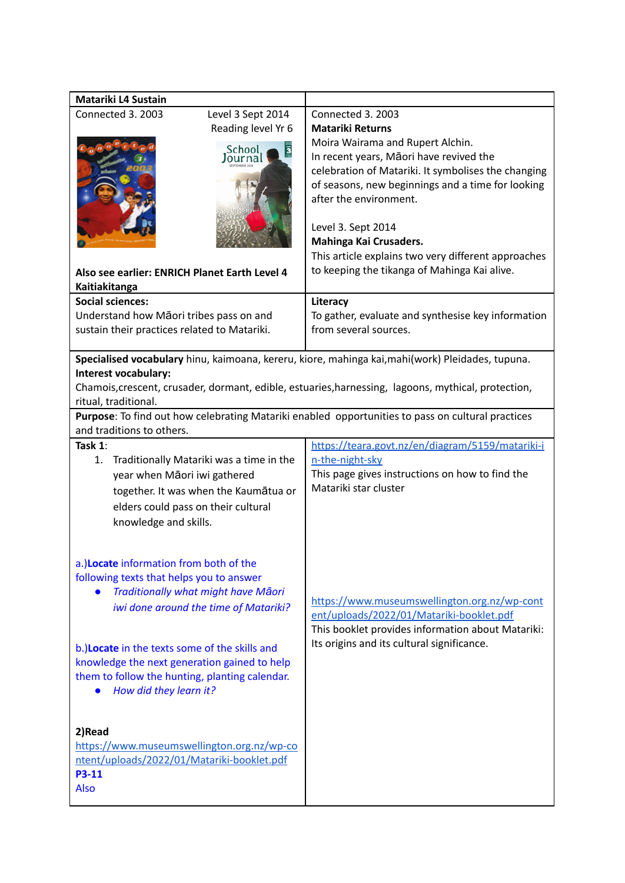| Matariki L4 Sustain                                                                                                                                                                                                                                                                                                                             |                                                                                                                                                                                                                                                                                                                                                                                                                          |
|-------------------------------------------------------------------------------------------------------------------------------------------------------------------------------------------------------------------------------------------------------------------------------------------------------------------------------------------------|--------------------------------------------------------------------------------------------------------------------------------------------------------------------------------------------------------------------------------------------------------------------------------------------------------------------------------------------------------------------------------------------------------------------------|
| Connected 3, 2003<br>Level 3 Sept 2014<br>Reading level Yr 6<br>School<br>Also see earlier: ENRICH Planet Earth Level 4<br>Kaitiakitanga                                                                                                                                                                                                        | Connected 3, 2003<br><b>Matariki Returns</b><br>Moira Wairama and Rupert Alchin.<br>In recent years, Māori have revived the<br>celebration of Matariki. It symbolises the changing<br>of seasons, new beginnings and a time for looking<br>after the environment.<br>Level 3. Sept 2014<br>Mahinga Kai Crusaders.<br>This article explains two very different approaches<br>to keeping the tikanga of Mahinga Kai alive. |
| <b>Social sciences:</b>                                                                                                                                                                                                                                                                                                                         | Literacy                                                                                                                                                                                                                                                                                                                                                                                                                 |
| Understand how Māori tribes pass on and                                                                                                                                                                                                                                                                                                         | To gather, evaluate and synthesise key information                                                                                                                                                                                                                                                                                                                                                                       |
| sustain their practices related to Matariki.                                                                                                                                                                                                                                                                                                    | from several sources.                                                                                                                                                                                                                                                                                                                                                                                                    |
|                                                                                                                                                                                                                                                                                                                                                 |                                                                                                                                                                                                                                                                                                                                                                                                                          |
| Specialised vocabulary hinu, kaimoana, kereru, kiore, mahinga kai, mahi(work) Pleidades, tupuna.<br>Interest vocabulary:<br>Chamois, crescent, crusader, dormant, edible, estuaries, harnessing, lagoons, mythical, protection,<br>ritual, traditional.                                                                                         |                                                                                                                                                                                                                                                                                                                                                                                                                          |
|                                                                                                                                                                                                                                                                                                                                                 | Purpose: To find out how celebrating Matariki enabled opportunities to pass on cultural practices                                                                                                                                                                                                                                                                                                                        |
| and traditions to others.                                                                                                                                                                                                                                                                                                                       |                                                                                                                                                                                                                                                                                                                                                                                                                          |
| Task 1:<br>Traditionally Matariki was a time in the<br>1.<br>year when Māori iwi gathered<br>together. It was when the Kaumātua or<br>elders could pass on their cultural<br>knowledge and skills.                                                                                                                                              | https://teara.govt.nz/en/diagram/5159/matariki-i<br>n-the-night-sky<br>This page gives instructions on how to find the<br>Matariki star cluster                                                                                                                                                                                                                                                                          |
| a.)Locate information from both of the<br>following texts that helps you to answer<br>Traditionally what might have Māori<br>iwi done around the time of Matariki?<br>b.)Locate in the texts some of the skills and<br>knowledge the next generation gained to help<br>them to follow the hunting, planting calendar.<br>How did they learn it? | https://www.museumswellington.org.nz/wp-cont<br>ent/uploads/2022/01/Matariki-booklet.pdf<br>This booklet provides information about Matariki:<br>Its origins and its cultural significance.                                                                                                                                                                                                                              |
| 2)Read<br>https://www.museumswellington.org.nz/wp-co<br>ntent/uploads/2022/01/Matariki-booklet.pdf<br><b>P3-11</b><br>Also                                                                                                                                                                                                                      |                                                                                                                                                                                                                                                                                                                                                                                                                          |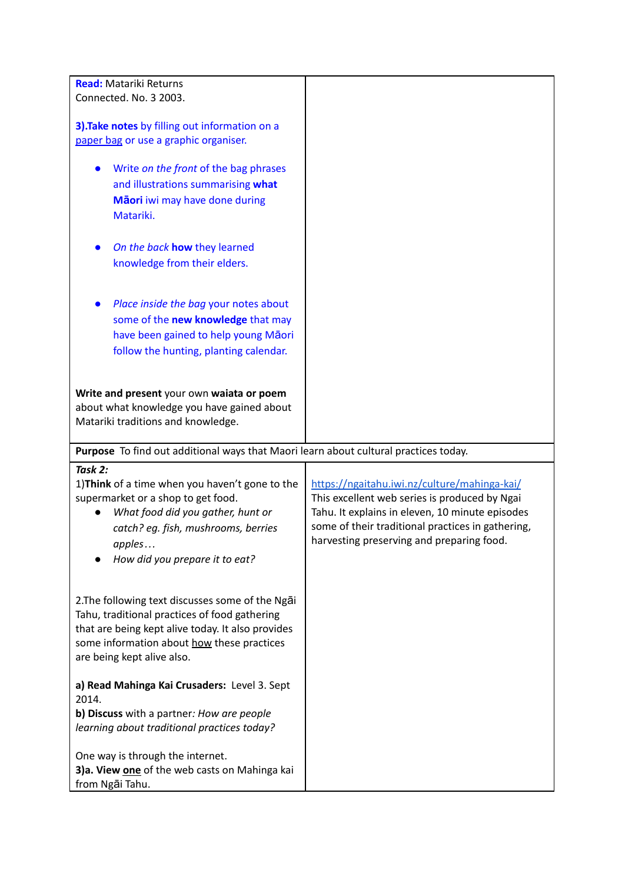| <b>Read:</b> Matariki Returns                                                        |                                                   |
|--------------------------------------------------------------------------------------|---------------------------------------------------|
| Connected. No. 3 2003.                                                               |                                                   |
|                                                                                      |                                                   |
|                                                                                      |                                                   |
| 3). Take notes by filling out information on a                                       |                                                   |
| paper bag or use a graphic organiser.                                                |                                                   |
|                                                                                      |                                                   |
| Write on the front of the bag phrases                                                |                                                   |
| and illustrations summarising what                                                   |                                                   |
| Māori iwi may have done during                                                       |                                                   |
| Matariki.                                                                            |                                                   |
|                                                                                      |                                                   |
|                                                                                      |                                                   |
| On the back how they learned                                                         |                                                   |
| knowledge from their elders.                                                         |                                                   |
|                                                                                      |                                                   |
|                                                                                      |                                                   |
| Place inside the bag your notes about                                                |                                                   |
| some of the new knowledge that may                                                   |                                                   |
| have been gained to help young Maori                                                 |                                                   |
| follow the hunting, planting calendar.                                               |                                                   |
|                                                                                      |                                                   |
|                                                                                      |                                                   |
| Write and present your own waiata or poem                                            |                                                   |
|                                                                                      |                                                   |
| about what knowledge you have gained about                                           |                                                   |
| Matariki traditions and knowledge.                                                   |                                                   |
|                                                                                      |                                                   |
| Purpose To find out additional ways that Maori learn about cultural practices today. |                                                   |
| Task 2:                                                                              |                                                   |
| 1) Think of a time when you haven't gone to the                                      | https://ngaitahu.iwi.nz/culture/mahinga-kai/      |
| supermarket or a shop to get food.                                                   | This excellent web series is produced by Ngai     |
| What food did you gather, hunt or                                                    | Tahu. It explains in eleven, 10 minute episodes   |
| catch? eg. fish, mushrooms, berries                                                  | some of their traditional practices in gathering, |
|                                                                                      | harvesting preserving and preparing food.         |
| apples                                                                               |                                                   |
| How did you prepare it to eat?                                                       |                                                   |
|                                                                                      |                                                   |
|                                                                                      |                                                   |
| 2. The following text discusses some of the Ngai                                     |                                                   |
| Tahu, traditional practices of food gathering                                        |                                                   |
| that are being kept alive today. It also provides                                    |                                                   |
| some information about how these practices                                           |                                                   |
| are being kept alive also.                                                           |                                                   |
|                                                                                      |                                                   |
|                                                                                      |                                                   |
|                                                                                      |                                                   |
| a) Read Mahinga Kai Crusaders: Level 3. Sept                                         |                                                   |
| 2014.                                                                                |                                                   |
| b) Discuss with a partner: How are people                                            |                                                   |
| learning about traditional practices today?                                          |                                                   |
|                                                                                      |                                                   |
| One way is through the internet.                                                     |                                                   |
| 3)a. View one of the web casts on Mahinga kai<br>from Ngāi Tahu.                     |                                                   |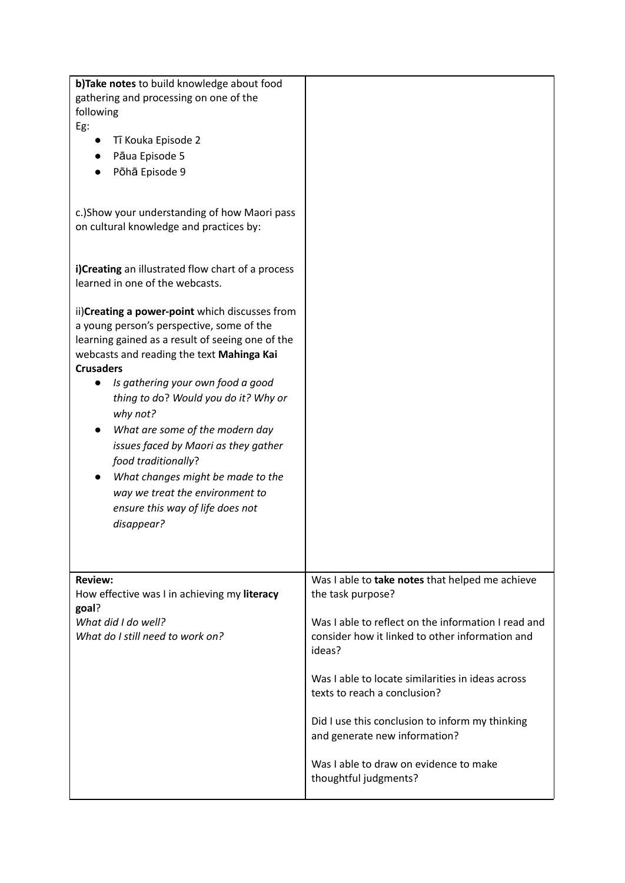| b)Take notes to build knowledge about food<br>gathering and processing on one of the<br>following<br>Eg:<br>Tī Kouka Episode 2<br>Pāua Episode 5<br>Pōhā Episode 9<br>c.) Show your understanding of how Maori pass                                                                                                                                                                                                                                                                                                                                 |                                                                                                                                                                                                                                                                                                                                                                                                                                      |
|-----------------------------------------------------------------------------------------------------------------------------------------------------------------------------------------------------------------------------------------------------------------------------------------------------------------------------------------------------------------------------------------------------------------------------------------------------------------------------------------------------------------------------------------------------|--------------------------------------------------------------------------------------------------------------------------------------------------------------------------------------------------------------------------------------------------------------------------------------------------------------------------------------------------------------------------------------------------------------------------------------|
| on cultural knowledge and practices by:<br>i)Creating an illustrated flow chart of a process<br>learned in one of the webcasts.                                                                                                                                                                                                                                                                                                                                                                                                                     |                                                                                                                                                                                                                                                                                                                                                                                                                                      |
| ii) Creating a power-point which discusses from<br>a young person's perspective, some of the<br>learning gained as a result of seeing one of the<br>webcasts and reading the text Mahinga Kai<br><b>Crusaders</b><br>Is gathering your own food a good<br>$\bullet$<br>thing to do? Would you do it? Why or<br>why not?<br>What are some of the modern day<br>issues faced by Maori as they gather<br>food traditionally?<br>What changes might be made to the<br>way we treat the environment to<br>ensure this way of life does not<br>disappear? |                                                                                                                                                                                                                                                                                                                                                                                                                                      |
| <b>Review:</b><br>How effective was I in achieving my literacy<br>goal?<br>What did I do well?<br>What do I still need to work on?                                                                                                                                                                                                                                                                                                                                                                                                                  | Was I able to take notes that helped me achieve<br>the task purpose?<br>Was I able to reflect on the information I read and<br>consider how it linked to other information and<br>ideas?<br>Was I able to locate similarities in ideas across<br>texts to reach a conclusion?<br>Did I use this conclusion to inform my thinking<br>and generate new information?<br>Was I able to draw on evidence to make<br>thoughtful judgments? |